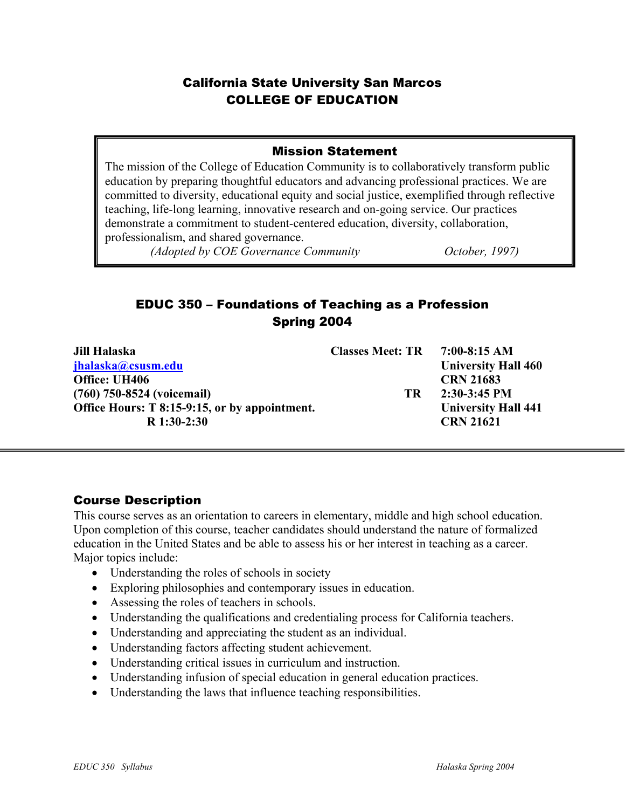# California State University San Marcos COLLEGE OF EDUCATION

## Mission Statement

The mission of the College of Education Community is to collaboratively transform public education by preparing thoughtful educators and advancing professional practices. We are committed to diversity, educational equity and social justice, exemplified through reflective teaching, life-long learning, innovative research and on-going service. Our practices demonstrate a commitment to student-centered education, diversity, collaboration, professionalism, and shared governance.

*(Adopted by COE Governance Community October, 1997)* 

# EDUC 350 – Foundations of Teaching as a Profession Spring 2004

| Jill Halaska                                  | <b>Classes Meet: TR</b> | $7:00-8:15 AM$             |
|-----------------------------------------------|-------------------------|----------------------------|
| jhalaska@csusm.edu                            |                         | <b>University Hall 460</b> |
| Office: UH406                                 |                         | <b>CRN 21683</b>           |
| (760) 750-8524 (voicemail)                    | TR                      | $2:30-3:45$ PM             |
| Office Hours: T 8:15-9:15, or by appointment. |                         | <b>University Hall 441</b> |
| $R$ 1:30-2:30                                 |                         | <b>CRN 21621</b>           |

# Course Description

1

This course serves as an orientation to careers in elementary, middle and high school education. Upon completion of this course, teacher candidates should understand the nature of formalized education in the United States and be able to assess his or her interest in teaching as a career. Major topics include:

- Understanding the roles of schools in society
- Exploring philosophies and contemporary issues in education.
- Assessing the roles of teachers in schools.
- Understanding the qualifications and credentialing process for California teachers.
- Understanding and appreciating the student as an individual.
- Understanding factors affecting student achievement.
- Understanding critical issues in curriculum and instruction.
- Understanding infusion of special education in general education practices.
- Understanding the laws that influence teaching responsibilities.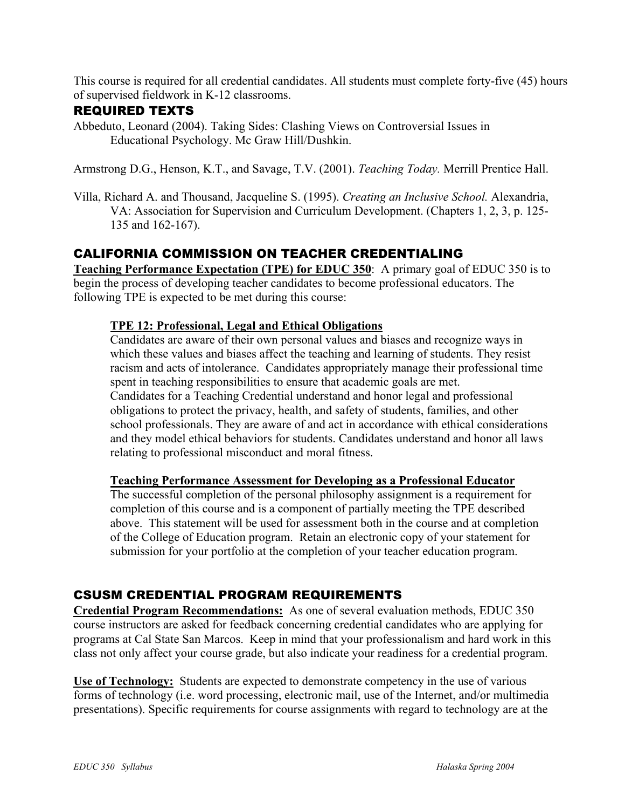This course is required for all credential candidates. All students must complete forty-five (45) hours of supervised fieldwork in K-12 classrooms.

## REQUIRED TEXTS

Abbeduto, Leonard (2004). Taking Sides: Clashing Views on Controversial Issues in Educational Psychology. Mc Graw Hill/Dushkin.

Armstrong D.G., Henson, K.T., and Savage, T.V. (2001). *Teaching Today.* Merrill Prentice Hall.

Villa, Richard A. and Thousand, Jacqueline S. (1995). *Creating an Inclusive School.* Alexandria, VA: Association for Supervision and Curriculum Development. (Chapters 1, 2, 3, p. 125- 135 and 162-167).

# CALIFORNIA COMMISSION ON TEACHER CREDENTIALING

**Teaching Performance Expectation (TPE) for EDUC 350**: A primary goal of EDUC 350 is to begin the process of developing teacher candidates to become professional educators. The following TPE is expected to be met during this course:

## **TPE 12: Professional, Legal and Ethical Obligations**

Candidates are aware of their own personal values and biases and recognize ways in which these values and biases affect the teaching and learning of students. They resist racism and acts of intolerance. Candidates appropriately manage their professional time spent in teaching responsibilities to ensure that academic goals are met. Candidates for a Teaching Credential understand and honor legal and professional obligations to protect the privacy, health, and safety of students, families, and other school professionals. They are aware of and act in accordance with ethical considerations and they model ethical behaviors for students. Candidates understand and honor all laws relating to professional misconduct and moral fitness.

### **Teaching Performance Assessment for Developing as a Professional Educator**

The successful completion of the personal philosophy assignment is a requirement for completion of this course and is a component of partially meeting the TPE described above. This statement will be used for assessment both in the course and at completion of the College of Education program. Retain an electronic copy of your statement for submission for your portfolio at the completion of your teacher education program.

# CSUSM CREDENTIAL PROGRAM REQUIREMENTS

**Credential Program Recommendations:** As one of several evaluation methods, EDUC 350 course instructors are asked for feedback concerning credential candidates who are applying for programs at Cal State San Marcos. Keep in mind that your professionalism and hard work in this class not only affect your course grade, but also indicate your readiness for a credential program.

**Use of Technology:** Students are expected to demonstrate competency in the use of various forms of technology (i.e. word processing, electronic mail, use of the Internet, and/or multimedia presentations). Specific requirements for course assignments with regard to technology are at the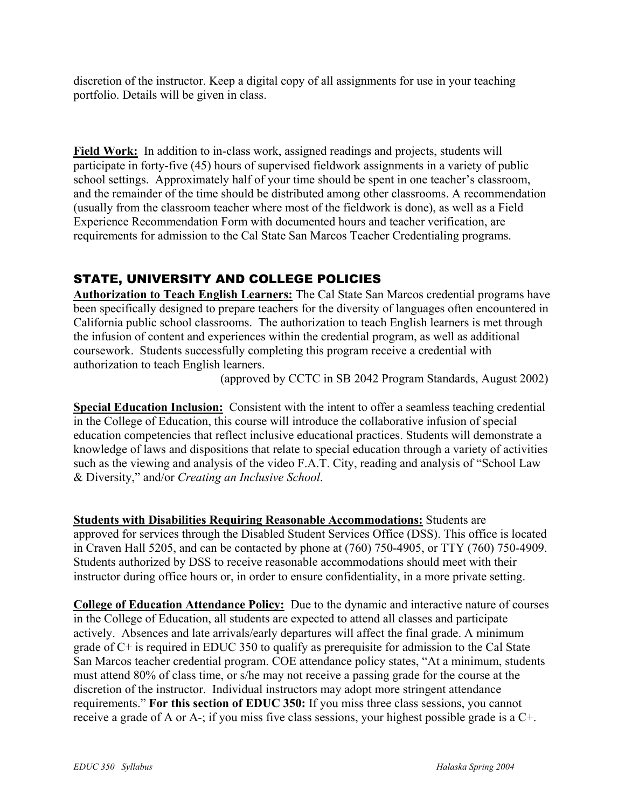discretion of the instructor. Keep a digital copy of all assignments for use in your teaching portfolio. Details will be given in class.

**Field Work:** In addition to in-class work, assigned readings and projects, students will participate in forty-five (45) hours of supervised fieldwork assignments in a variety of public school settings. Approximately half of your time should be spent in one teacher's classroom, and the remainder of the time should be distributed among other classrooms. A recommendation (usually from the classroom teacher where most of the fieldwork is done), as well as a Field Experience Recommendation Form with documented hours and teacher verification, are requirements for admission to the Cal State San Marcos Teacher Credentialing programs.

# STATE, UNIVERSITY AND COLLEGE POLICIES

**Authorization to Teach English Learners:** The Cal State San Marcos credential programs have been specifically designed to prepare teachers for the diversity of languages often encountered in California public school classrooms. The authorization to teach English learners is met through the infusion of content and experiences within the credential program, as well as additional coursework. Students successfully completing this program receive a credential with authorization to teach English learners.

(approved by CCTC in SB 2042 Program Standards, August 2002)

**Special Education Inclusion:** Consistent with the intent to offer a seamless teaching credential in the College of Education, this course will introduce the collaborative infusion of special education competencies that reflect inclusive educational practices. Students will demonstrate a knowledge of laws and dispositions that relate to special education through a variety of activities such as the viewing and analysis of the video F.A.T. City, reading and analysis of "School Law & Diversity," and/or *Creating an Inclusive School*.

**Students with Disabilities Requiring Reasonable Accommodations:** Students are approved for services through the Disabled Student Services Office (DSS). This office is located in Craven Hall 5205, and can be contacted by phone at (760) 750-4905, or TTY (760) 750-4909. Students authorized by DSS to receive reasonable accommodations should meet with their instructor during office hours or, in order to ensure confidentiality, in a more private setting.

**College of Education Attendance Policy:** Due to the dynamic and interactive nature of courses in the College of Education, all students are expected to attend all classes and participate actively. Absences and late arrivals/early departures will affect the final grade. A minimum grade of C+ is required in EDUC 350 to qualify as prerequisite for admission to the Cal State San Marcos teacher credential program. COE attendance policy states, "At a minimum, students must attend 80% of class time, or s/he may not receive a passing grade for the course at the discretion of the instructor. Individual instructors may adopt more stringent attendance requirements." **For this section of EDUC 350:** If you miss three class sessions, you cannot receive a grade of A or A-; if you miss five class sessions, your highest possible grade is a C+.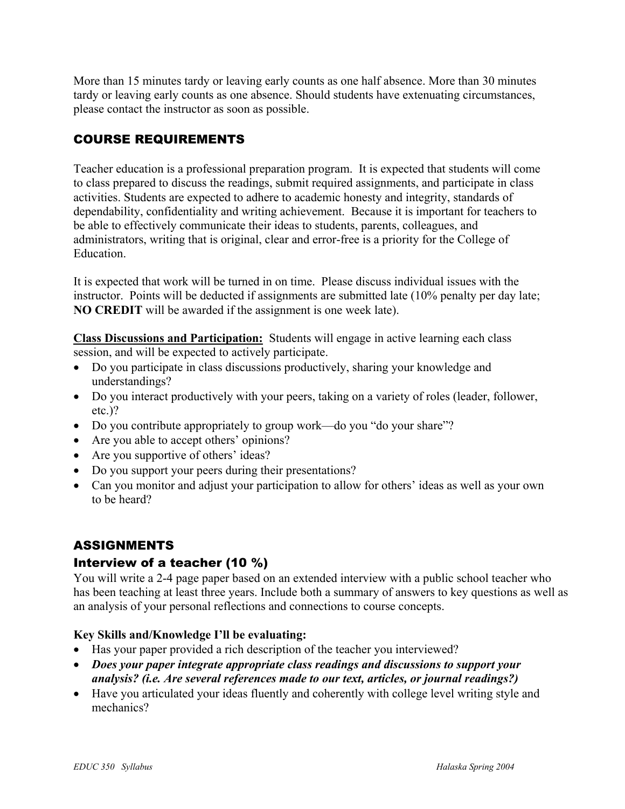More than 15 minutes tardy or leaving early counts as one half absence. More than 30 minutes tardy or leaving early counts as one absence. Should students have extenuating circumstances, please contact the instructor as soon as possible.

# COURSE REQUIREMENTS

Teacher education is a professional preparation program. It is expected that students will come to class prepared to discuss the readings, submit required assignments, and participate in class activities. Students are expected to adhere to academic honesty and integrity, standards of dependability, confidentiality and writing achievement. Because it is important for teachers to be able to effectively communicate their ideas to students, parents, colleagues, and administrators, writing that is original, clear and error-free is a priority for the College of Education.

It is expected that work will be turned in on time. Please discuss individual issues with the instructor. Points will be deducted if assignments are submitted late (10% penalty per day late; **NO CREDIT** will be awarded if the assignment is one week late).

**Class Discussions and Participation:** Students will engage in active learning each class session, and will be expected to actively participate.

- Do you participate in class discussions productively, sharing your knowledge and understandings?
- Do you interact productively with your peers, taking on a variety of roles (leader, follower, etc.)?
- Do you contribute appropriately to group work—do you "do your share"?
- Are you able to accept others' opinions?
- Are you supportive of others' ideas?
- Do you support your peers during their presentations?
- Can you monitor and adjust your participation to allow for others' ideas as well as your own to be heard?

# ASSIGNMENTS

# Interview of a teacher (10 %)

You will write a 2-4 page paper based on an extended interview with a public school teacher who has been teaching at least three years. Include both a summary of answers to key questions as well as an analysis of your personal reflections and connections to course concepts.

## **Key Skills and/Knowledge I'll be evaluating:**

- Has your paper provided a rich description of the teacher you interviewed?
- *Does your paper integrate appropriate class readings and discussions to support your analysis? (i.e. Are several references made to our text, articles, or journal readings?)*
- Have you articulated your ideas fluently and coherently with college level writing style and mechanics?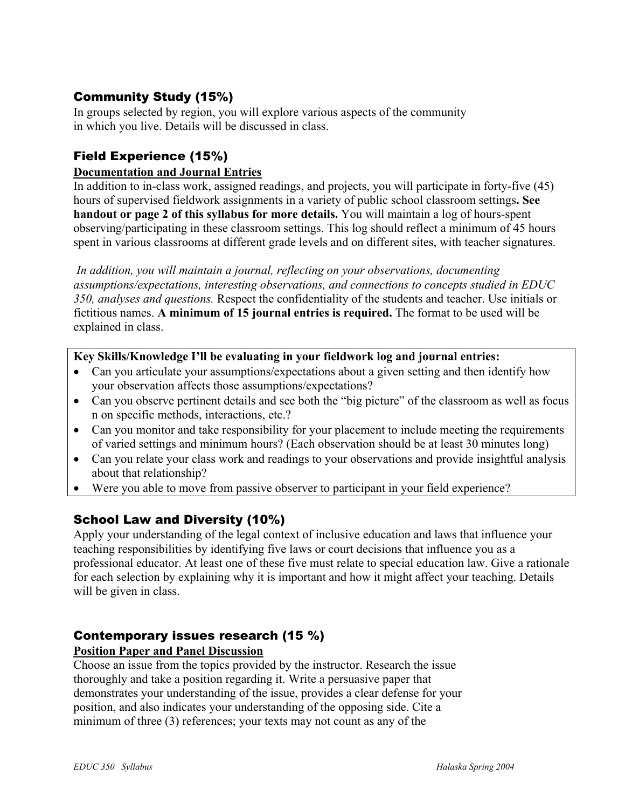# Community Study (15%)

In groups selected by region, you will explore various aspects of the community in which you live. Details will be discussed in class.

# Field Experience (15%)

## **Documentation and Journal Entries**

In addition to in-class work, assigned readings, and projects, you will participate in forty-five (45) hours of supervised fieldwork assignments in a variety of public school classroom settings**. See handout or page 2 of this syllabus for more details.** You will maintain a log of hours-spent observing/participating in these classroom settings. This log should reflect a minimum of 45 hours spent in various classrooms at different grade levels and on different sites, with teacher signatures.

*In addition, you will maintain a journal, reflecting on your observations, documenting assumptions/expectations, interesting observations, and connections to concepts studied in EDUC 350, analyses and questions.* Respect the confidentiality of the students and teacher. Use initials or fictitious names. **A minimum of 15 journal entries is required.** The format to be used will be explained in class.

## **Key Skills/Knowledge I'll be evaluating in your fieldwork log and journal entries:**

- Can you articulate your assumptions/expectations about a given setting and then identify how your observation affects those assumptions/expectations?
- Can you observe pertinent details and see both the "big picture" of the classroom as well as focus n on specific methods, interactions, etc.?
- Can you monitor and take responsibility for your placement to include meeting the requirements of varied settings and minimum hours? (Each observation should be at least 30 minutes long)
- Can you relate your class work and readings to your observations and provide insightful analysis about that relationship?
- Were you able to move from passive observer to participant in your field experience?

# School Law and Diversity (10%)

Apply your understanding of the legal context of inclusive education and laws that influence your teaching responsibilities by identifying five laws or court decisions that influence you as a professional educator. At least one of these five must relate to special education law. Give a rationale for each selection by explaining why it is important and how it might affect your teaching. Details will be given in class.

# Contemporary issues research (15 %)

## **Position Paper and Panel Discussion**

Choose an issue from the topics provided by the instructor. Research the issue thoroughly and take a position regarding it. Write a persuasive paper that demonstrates your understanding of the issue, provides a clear defense for your position, and also indicates your understanding of the opposing side. Cite a minimum of three (3) references; your texts may not count as any of the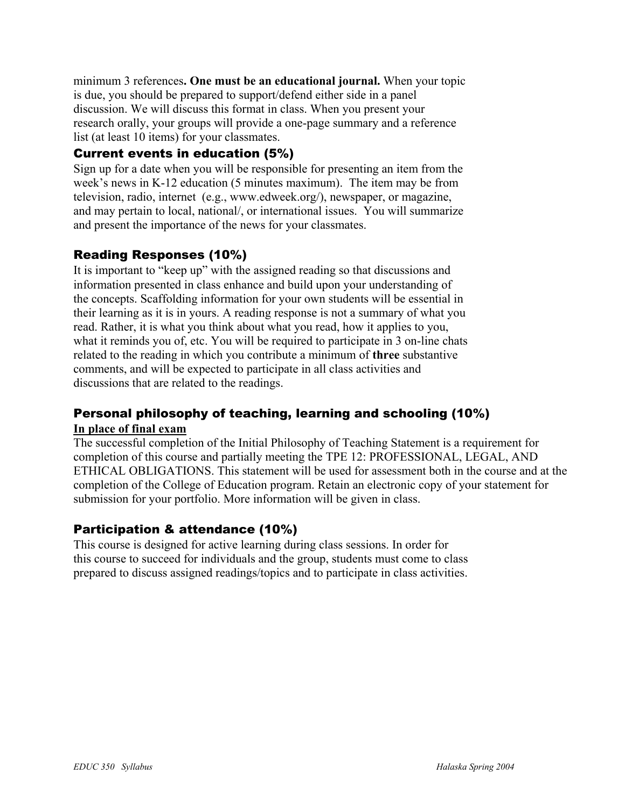minimum 3 references**. One must be an educational journal.** When your topic is due, you should be prepared to support/defend either side in a panel discussion. We will discuss this format in class. When you present your research orally, your groups will provide a one-page summary and a reference list (at least 10 items) for your classmates.

# Current events in education (5%)

Sign up for a date when you will be responsible for presenting an item from the week's news in K-12 education (5 minutes maximum). The item may be from television, radio, internet (e.g., www.edweek.org/), newspaper, or magazine, and may pertain to local, national/, or international issues. You will summarize and present the importance of the news for your classmates.

# Reading Responses (10%)

It is important to "keep up" with the assigned reading so that discussions and information presented in class enhance and build upon your understanding of the concepts. Scaffolding information for your own students will be essential in their learning as it is in yours. A reading response is not a summary of what you read. Rather, it is what you think about what you read, how it applies to you, what it reminds you of, etc. You will be required to participate in 3 on-line chats related to the reading in which you contribute a minimum of **three** substantive comments, and will be expected to participate in all class activities and discussions that are related to the readings.

# Personal philosophy of teaching, learning and schooling (10%) **In place of final exam**

The successful completion of the Initial Philosophy of Teaching Statement is a requirement for completion of this course and partially meeting the TPE 12: PROFESSIONAL, LEGAL, AND ETHICAL OBLIGATIONS. This statement will be used for assessment both in the course and at the completion of the College of Education program. Retain an electronic copy of your statement for submission for your portfolio. More information will be given in class.

# Participation & attendance (10%)

This course is designed for active learning during class sessions. In order for this course to succeed for individuals and the group, students must come to class prepared to discuss assigned readings/topics and to participate in class activities.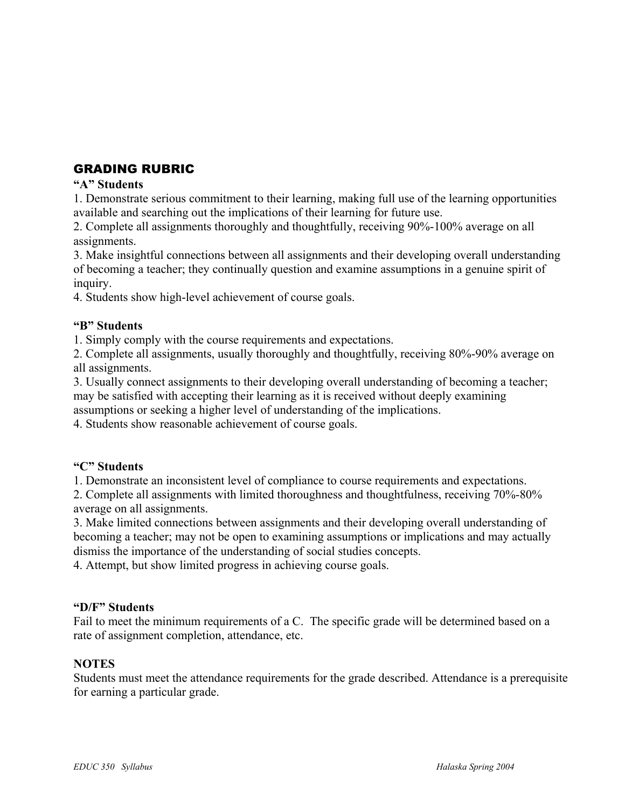# GRADING RUBRIC

### **"A" Students**

1. Demonstrate serious commitment to their learning, making full use of the learning opportunities available and searching out the implications of their learning for future use.

2. Complete all assignments thoroughly and thoughtfully, receiving 90%-100% average on all assignments.

3. Make insightful connections between all assignments and their developing overall understanding of becoming a teacher; they continually question and examine assumptions in a genuine spirit of inquiry.

4. Students show high-level achievement of course goals.

### **"B" Students**

1. Simply comply with the course requirements and expectations.

2. Complete all assignments, usually thoroughly and thoughtfully, receiving 80%-90% average on all assignments.

3. Usually connect assignments to their developing overall understanding of becoming a teacher; may be satisfied with accepting their learning as it is received without deeply examining assumptions or seeking a higher level of understanding of the implications.

4. Students show reasonable achievement of course goals.

## **"C" Students**

1. Demonstrate an inconsistent level of compliance to course requirements and expectations.

2. Complete all assignments with limited thoroughness and thoughtfulness, receiving 70%-80% average on all assignments.

3. Make limited connections between assignments and their developing overall understanding of becoming a teacher; may not be open to examining assumptions or implications and may actually dismiss the importance of the understanding of social studies concepts.

4. Attempt, but show limited progress in achieving course goals.

### **"D/F" Students**

Fail to meet the minimum requirements of a C. The specific grade will be determined based on a rate of assignment completion, attendance, etc.

### **NOTES**

Students must meet the attendance requirements for the grade described. Attendance is a prerequisite for earning a particular grade.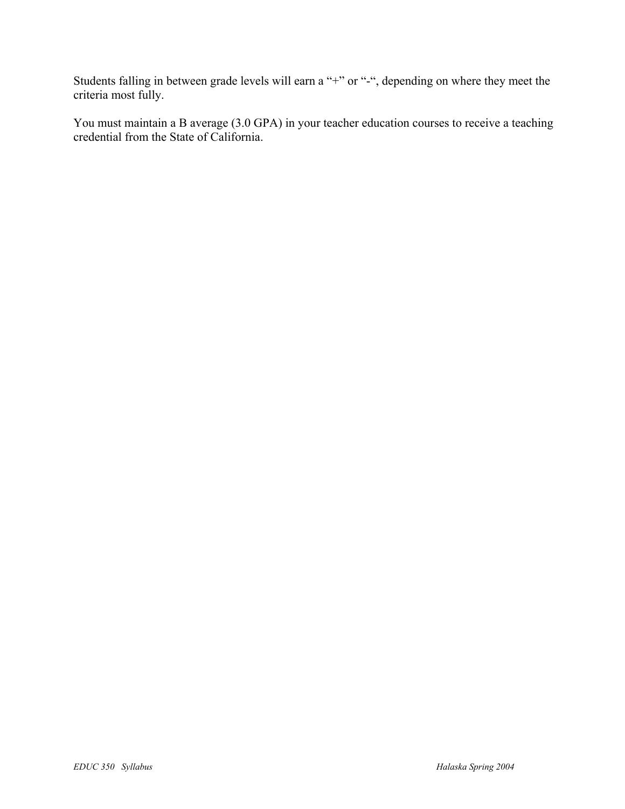Students falling in between grade levels will earn a "+" or "-", depending on where they meet the criteria most fully.

You must maintain a B average (3.0 GPA) in your teacher education courses to receive a teaching credential from the State of California.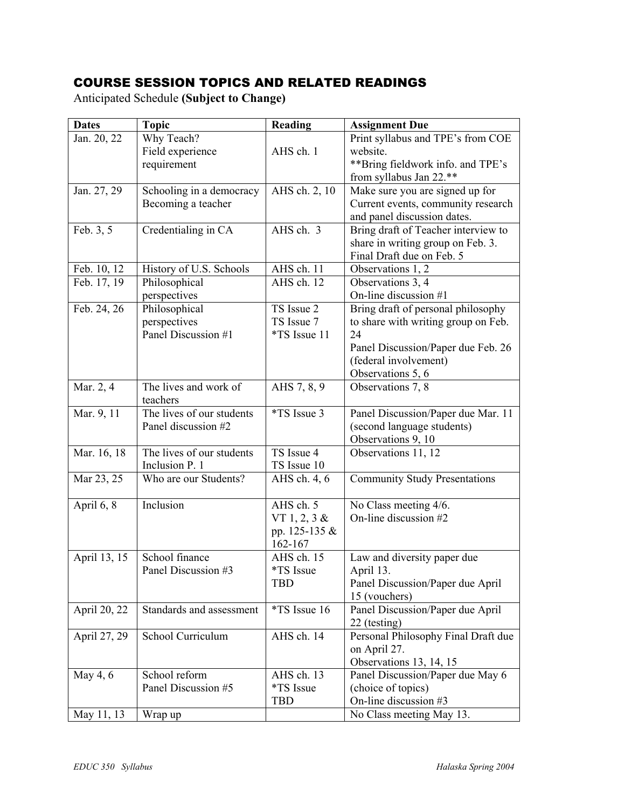# COURSE SESSION TOPICS AND RELATED READINGS

Anticipated Schedule **(Subject to Change)** 

| <b>Dates</b> | <b>Topic</b>              | Reading            | <b>Assignment Due</b>                |
|--------------|---------------------------|--------------------|--------------------------------------|
| Jan. 20, 22  | Why Teach?                |                    | Print syllabus and TPE's from COE    |
|              | Field experience          | AHS ch. 1          | website.                             |
|              | requirement               |                    | **Bring fieldwork info. and TPE's    |
|              |                           |                    | from syllabus Jan 22.**              |
| Jan. 27, 29  | Schooling in a democracy  | AHS ch. 2, 10      | Make sure you are signed up for      |
|              | Becoming a teacher        |                    | Current events, community research   |
|              |                           |                    | and panel discussion dates.          |
| Feb. 3, 5    | Credentialing in CA       | AHS ch. 3          | Bring draft of Teacher interview to  |
|              |                           |                    | share in writing group on Feb. 3.    |
|              |                           |                    | Final Draft due on Feb. 5            |
| Feb. 10, 12  | History of U.S. Schools   | AHS ch. 11         | Observations 1, 2                    |
| Feb. 17, 19  | Philosophical             | AHS ch. 12         | Observations 3, 4                    |
|              | perspectives              |                    | On-line discussion #1                |
| Feb. 24, 26  | Philosophical             | TS Issue 2         | Bring draft of personal philosophy   |
|              | perspectives              | TS Issue 7         | to share with writing group on Feb.  |
|              | Panel Discussion #1       | *TS Issue 11       | 24                                   |
|              |                           |                    | Panel Discussion/Paper due Feb. 26   |
|              |                           |                    | (federal involvement)                |
|              |                           |                    | Observations 5, 6                    |
| Mar. 2, 4    | The lives and work of     | AHS 7, 8, 9        | Observations 7, 8                    |
|              | teachers                  |                    |                                      |
| Mar. 9, 11   | The lives of our students | <i>*TS</i> Issue 3 | Panel Discussion/Paper due Mar. 11   |
|              | Panel discussion #2       |                    | (second language students)           |
|              |                           |                    | Observations 9, 10                   |
| Mar. 16, 18  | The lives of our students | TS Issue 4         | Observations 11, 12                  |
|              | Inclusion P. 1            | TS Issue 10        |                                      |
| Mar 23, 25   | Who are our Students?     | AHS ch. 4, 6       | <b>Community Study Presentations</b> |
| April 6, 8   | Inclusion                 | AHS ch. 5          | No Class meeting 4/6.                |
|              |                           | VT $1, 2, 3 \&$    | On-line discussion #2                |
|              |                           | pp. 125-135 &      |                                      |
|              |                           | 162-167            |                                      |
| April 13, 15 | School finance            | AHS ch. 15         | Law and diversity paper due          |
|              | Panel Discussion #3       | *TS Issue          | April 13.                            |
|              |                           | <b>TBD</b>         | Panel Discussion/Paper due April     |
|              |                           |                    | 15 (vouchers)                        |
| April 20, 22 | Standards and assessment  | *TS Issue 16       | Panel Discussion/Paper due April     |
|              |                           |                    | 22 (testing)                         |
| April 27, 29 | School Curriculum         | AHS ch. 14         | Personal Philosophy Final Draft due  |
|              |                           |                    | on April 27.                         |
|              |                           |                    | Observations 13, 14, 15              |
| May 4, 6     | School reform             | AHS ch. 13         | Panel Discussion/Paper due May 6     |
|              | Panel Discussion #5       | *TS Issue          | (choice of topics)                   |
|              |                           | <b>TBD</b>         | On-line discussion #3                |
| May 11, 13   | Wrap up                   |                    | No Class meeting May 13.             |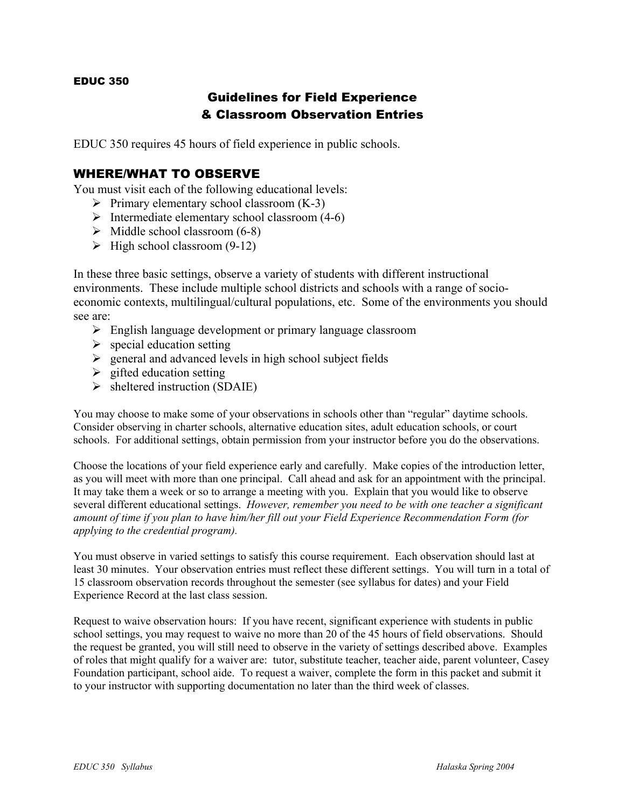### EDUC 350

# Guidelines for Field Experience & Classroom Observation Entries

EDUC 350 requires 45 hours of field experience in public schools.

## WHERE/WHAT TO OBSERVE

You must visit each of the following educational levels:

- $\triangleright$  Primary elementary school classroom (K-3)
- $\triangleright$  Intermediate elementary school classroom (4-6)
- $\triangleright$  Middle school classroom (6-8)
- $\triangleright$  High school classroom (9-12)

In these three basic settings, observe a variety of students with different instructional environments. These include multiple school districts and schools with a range of socioeconomic contexts, multilingual/cultural populations, etc. Some of the environments you should see are:

- $\triangleright$  English language development or primary language classroom
- $\triangleright$  special education setting
- $\triangleright$  general and advanced levels in high school subject fields
- $\triangleright$  gifted education setting
- $\triangleright$  sheltered instruction (SDAIE)

You may choose to make some of your observations in schools other than "regular" daytime schools. Consider observing in charter schools, alternative education sites, adult education schools, or court schools. For additional settings, obtain permission from your instructor before you do the observations.

Choose the locations of your field experience early and carefully. Make copies of the introduction letter, as you will meet with more than one principal. Call ahead and ask for an appointment with the principal. It may take them a week or so to arrange a meeting with you. Explain that you would like to observe several different educational settings. *However, remember you need to be with one teacher a significant amount of time if you plan to have him/her fill out your Field Experience Recommendation Form (for applying to the credential program).* 

You must observe in varied settings to satisfy this course requirement. Each observation should last at least 30 minutes. Your observation entries must reflect these different settings. You will turn in a total of 15 classroom observation records throughout the semester (see syllabus for dates) and your Field Experience Record at the last class session.

Request to waive observation hours: If you have recent, significant experience with students in public school settings, you may request to waive no more than 20 of the 45 hours of field observations. Should the request be granted, you will still need to observe in the variety of settings described above. Examples of roles that might qualify for a waiver are: tutor, substitute teacher, teacher aide, parent volunteer, Casey Foundation participant, school aide. To request a waiver, complete the form in this packet and submit it to your instructor with supporting documentation no later than the third week of classes.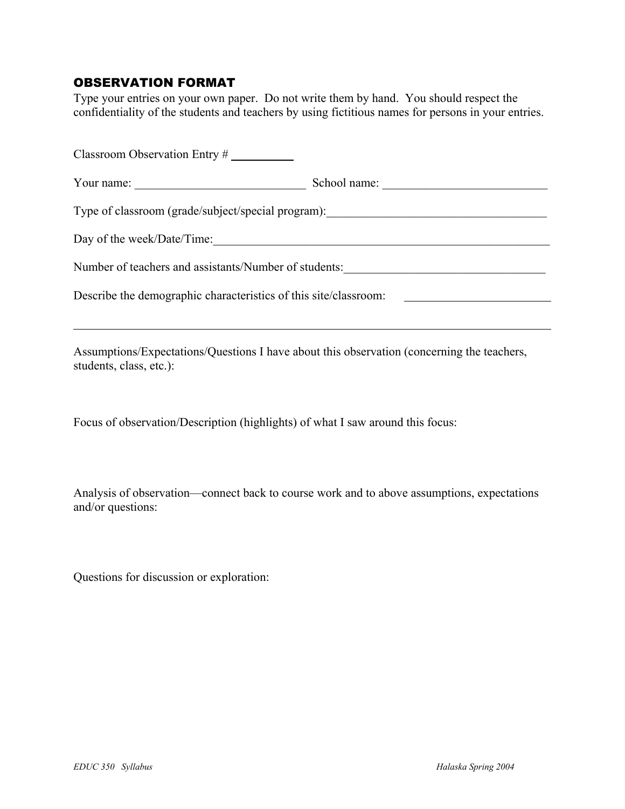# OBSERVATION FORMAT

Type your entries on your own paper. Do not write them by hand. You should respect the confidentiality of the students and teachers by using fictitious names for persons in your entries.

| Classroom Observation Entry $#$                                  |              |  |  |
|------------------------------------------------------------------|--------------|--|--|
| Your name:                                                       | School name: |  |  |
| Type of classroom (grade/subject/special program):               |              |  |  |
| Day of the week/Date/Time:                                       |              |  |  |
| Number of teachers and assistants/Number of students:            |              |  |  |
| Describe the demographic characteristics of this site/classroom: |              |  |  |

Assumptions/Expectations/Questions I have about this observation (concerning the teachers, students, class, etc.):

Focus of observation/Description (highlights) of what I saw around this focus:

Analysis of observation—connect back to course work and to above assumptions, expectations and/or questions:

Questions for discussion or exploration:

 $\overline{a}$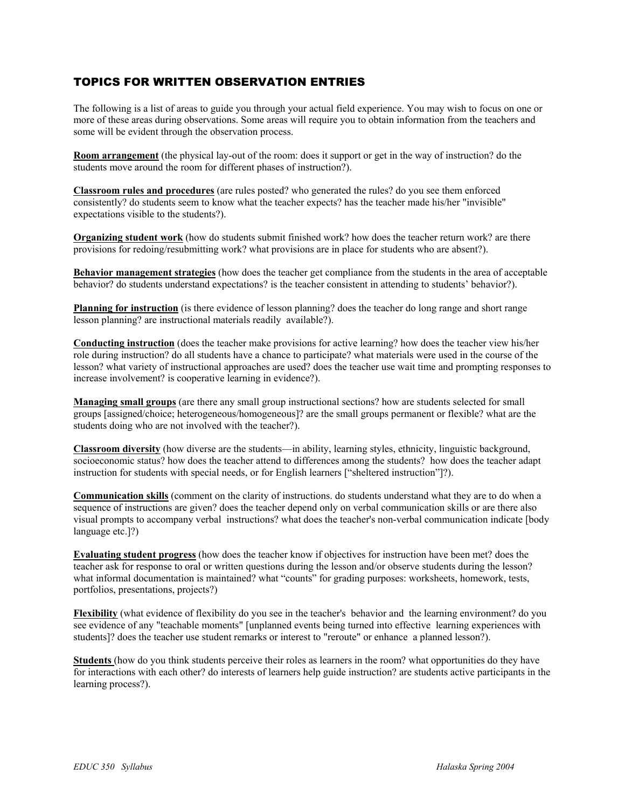## TOPICS FOR WRITTEN OBSERVATION ENTRIES

The following is a list of areas to guide you through your actual field experience. You may wish to focus on one or more of these areas during observations. Some areas will require you to obtain information from the teachers and some will be evident through the observation process.

**Room arrangement** (the physical lay-out of the room: does it support or get in the way of instruction? do the students move around the room for different phases of instruction?).

**Classroom rules and procedures** (are rules posted? who generated the rules? do you see them enforced consistently? do students seem to know what the teacher expects? has the teacher made his/her "invisible" expectations visible to the students?).

**Organizing student work** (how do students submit finished work? how does the teacher return work? are there provisions for redoing/resubmitting work? what provisions are in place for students who are absent?).

**Behavior management strategies** (how does the teacher get compliance from the students in the area of acceptable behavior? do students understand expectations? is the teacher consistent in attending to students' behavior?).

**Planning for instruction** (is there evidence of lesson planning? does the teacher do long range and short range lesson planning? are instructional materials readily available?).

**Conducting instruction** (does the teacher make provisions for active learning? how does the teacher view his/her role during instruction? do all students have a chance to participate? what materials were used in the course of the lesson? what variety of instructional approaches are used? does the teacher use wait time and prompting responses to increase involvement? is cooperative learning in evidence?).

**Managing small groups** (are there any small group instructional sections? how are students selected for small groups [assigned/choice; heterogeneous/homogeneous]? are the small groups permanent or flexible? what are the students doing who are not involved with the teacher?).

**Classroom diversity** (how diverse are the students—in ability, learning styles, ethnicity, linguistic background, socioeconomic status? how does the teacher attend to differences among the students? how does the teacher adapt instruction for students with special needs, or for English learners ["sheltered instruction"]?).

**Communication skills** (comment on the clarity of instructions. do students understand what they are to do when a sequence of instructions are given? does the teacher depend only on verbal communication skills or are there also visual prompts to accompany verbal instructions? what does the teacher's non-verbal communication indicate [body language etc.]?)

**Evaluating student progress** (how does the teacher know if objectives for instruction have been met? does the teacher ask for response to oral or written questions during the lesson and/or observe students during the lesson? what informal documentation is maintained? what "counts" for grading purposes: worksheets, homework, tests, portfolios, presentations, projects?)

**Flexibility** (what evidence of flexibility do you see in the teacher's behavior and the learning environment? do you see evidence of any "teachable moments" [unplanned events being turned into effective learning experiences with students]? does the teacher use student remarks or interest to "reroute" or enhance a planned lesson?).

**Students** (how do you think students perceive their roles as learners in the room? what opportunities do they have for interactions with each other? do interests of learners help guide instruction? are students active participants in the learning process?).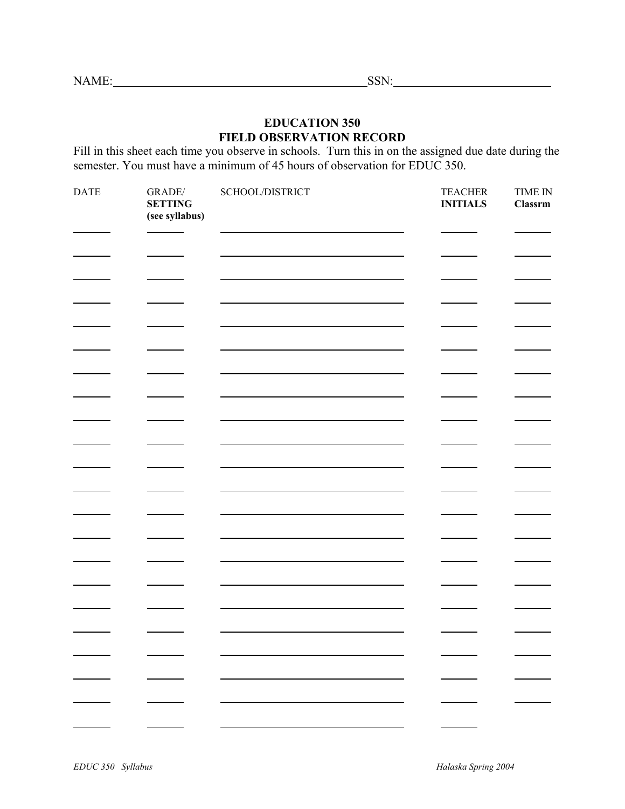NAME: SSN: SSN:

## **EDUCATION 350 FIELD OBSERVATION RECORD**

Fill in this sheet each time you observe in schools. Turn this in on the assigned due date during the semester. You must have a minimum of 45 hours of observation for EDUC 350.

| <b>DATE</b><br>$\mbox{GRADE}/$<br>SCHOOL/DISTRICT<br><b>TEACHER</b><br><b>INITIALS</b><br><b>SETTING</b><br>(see syllabus) | TIME IN<br><b>Classrm</b> |
|----------------------------------------------------------------------------------------------------------------------------|---------------------------|
|                                                                                                                            |                           |
|                                                                                                                            |                           |
|                                                                                                                            |                           |
|                                                                                                                            |                           |
|                                                                                                                            |                           |
|                                                                                                                            |                           |
|                                                                                                                            |                           |
|                                                                                                                            |                           |
|                                                                                                                            |                           |
|                                                                                                                            |                           |
|                                                                                                                            |                           |
|                                                                                                                            |                           |
|                                                                                                                            |                           |
|                                                                                                                            |                           |
|                                                                                                                            |                           |
|                                                                                                                            |                           |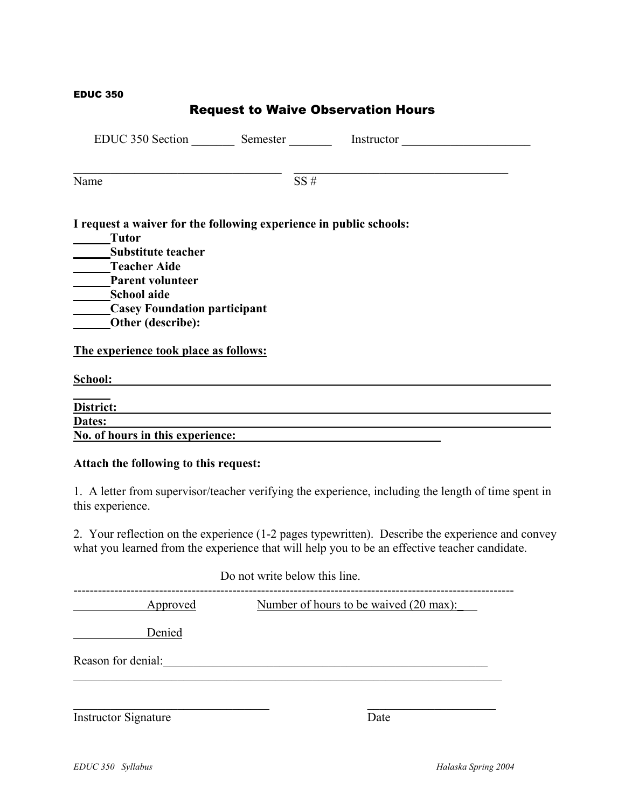### EDUC 350

|                                                                                                                                                                                                                                                                                    |     | <b>Request to Waive Observation Hours</b> |  |
|------------------------------------------------------------------------------------------------------------------------------------------------------------------------------------------------------------------------------------------------------------------------------------|-----|-------------------------------------------|--|
| EDUC 350 Section Semester Instructor                                                                                                                                                                                                                                               |     |                                           |  |
| Name                                                                                                                                                                                                                                                                               | SS# |                                           |  |
| I request a waiver for the following experience in public schools:<br><b>Tutor</b><br>_______Substitute teacher<br>Teacher Aide<br>Parent volunteer<br>School aide<br>Casey Foundation participant<br><b>Other (describe):</b><br>The experience took place as follows:<br>School: |     |                                           |  |
| District:                                                                                                                                                                                                                                                                          |     |                                           |  |
| Dates:                                                                                                                                                                                                                                                                             |     |                                           |  |
| <b>No. of hours in this experience:</b>                                                                                                                                                                                                                                            |     |                                           |  |
| Attach the following to this request:                                                                                                                                                                                                                                              |     |                                           |  |

1. A letter from supervisor/teacher verifying the experience, including the length of time spent in this experience.

2. Your reflection on the experience (1-2 pages typewritten). Describe the experience and convey what you learned from the experience that will help you to be an effective teacher candidate.

|                    | Do not write below this line.          |
|--------------------|----------------------------------------|
| Approved           | Number of hours to be waived (20 max): |
| Denied             |                                        |
| Reason for denial: |                                        |
|                    |                                        |
|                    |                                        |

Instructor Signature Date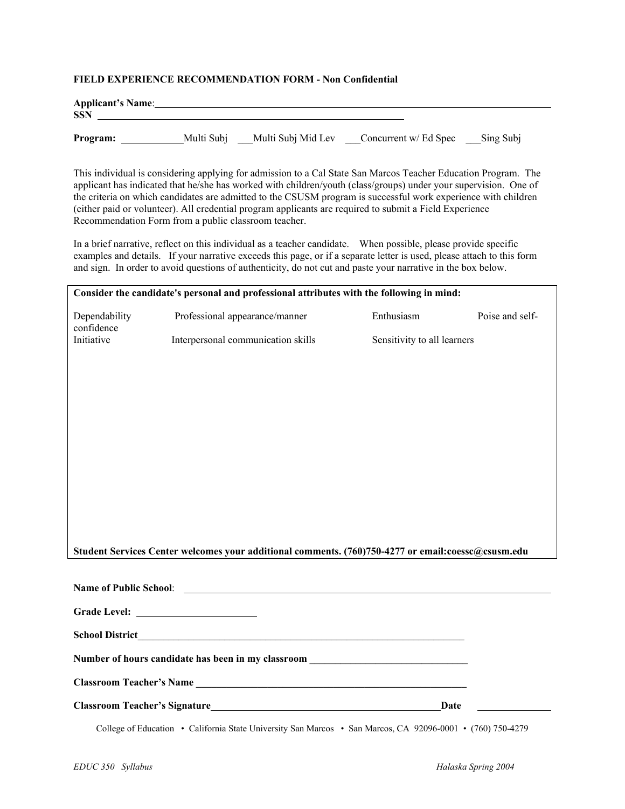#### **FIELD EXPERIENCE RECOMMENDATION FORM - Non Confidential**

| <b>Applicant's Name:</b><br><b>SSN</b> |            |                    |                       |           |
|----------------------------------------|------------|--------------------|-----------------------|-----------|
| Program:                               | Multi Subj | Multi Subj Mid Lev | Concurrent w/ Ed Spec | Sing Subj |

This individual is considering applying for admission to a Cal State San Marcos Teacher Education Program. The applicant has indicated that he/she has worked with children/youth (class/groups) under your supervision. One of the criteria on which candidates are admitted to the CSUSM program is successful work experience with children (either paid or volunteer). All credential program applicants are required to submit a Field Experience Recommendation Form from a public classroom teacher.

 In a brief narrative, reflect on this individual as a teacher candidate. When possible, please provide specific examples and details. If your narrative exceeds this page, or if a separate letter is used, please attach to this form and sign. In order to avoid questions of authenticity, do not cut and paste your narrative in the box below.

| Consider the candidate's personal and professional attributes with the following in mind:          |                                                                                                                                                                                                                                     |                             |                 |  |
|----------------------------------------------------------------------------------------------------|-------------------------------------------------------------------------------------------------------------------------------------------------------------------------------------------------------------------------------------|-----------------------------|-----------------|--|
| Dependability<br>confidence                                                                        | Professional appearance/manner                                                                                                                                                                                                      | Enthusiasm                  | Poise and self- |  |
| Initiative                                                                                         | Interpersonal communication skills                                                                                                                                                                                                  | Sensitivity to all learners |                 |  |
|                                                                                                    |                                                                                                                                                                                                                                     |                             |                 |  |
|                                                                                                    |                                                                                                                                                                                                                                     |                             |                 |  |
|                                                                                                    |                                                                                                                                                                                                                                     |                             |                 |  |
|                                                                                                    |                                                                                                                                                                                                                                     |                             |                 |  |
|                                                                                                    |                                                                                                                                                                                                                                     |                             |                 |  |
|                                                                                                    |                                                                                                                                                                                                                                     |                             |                 |  |
|                                                                                                    |                                                                                                                                                                                                                                     |                             |                 |  |
|                                                                                                    |                                                                                                                                                                                                                                     |                             |                 |  |
|                                                                                                    |                                                                                                                                                                                                                                     |                             |                 |  |
|                                                                                                    |                                                                                                                                                                                                                                     |                             |                 |  |
| Student Services Center welcomes your additional comments. (760)750-4277 or email:coessc@csusm.edu |                                                                                                                                                                                                                                     |                             |                 |  |
|                                                                                                    | Name of Public School: <u>Queenstanding</u>                                                                                                                                                                                         |                             |                 |  |
|                                                                                                    |                                                                                                                                                                                                                                     |                             |                 |  |
|                                                                                                    |                                                                                                                                                                                                                                     |                             |                 |  |
|                                                                                                    |                                                                                                                                                                                                                                     |                             |                 |  |
|                                                                                                    | Number of hours candidate has been in my classroom _____________________________                                                                                                                                                    |                             |                 |  |
|                                                                                                    | Classroom Teacher's Name Manual Account of the Classroom Teacher's Name                                                                                                                                                             |                             |                 |  |
|                                                                                                    | <b>Classroom Teacher's Signature</b> Manual School School School School School School School School School School School School School School School School School School School School School School School School School School S | Date                        |                 |  |
|                                                                                                    | College of Education • California State University San Marcos • San Marcos, CA 92096-0001 • (760) 750-4279                                                                                                                          |                             |                 |  |